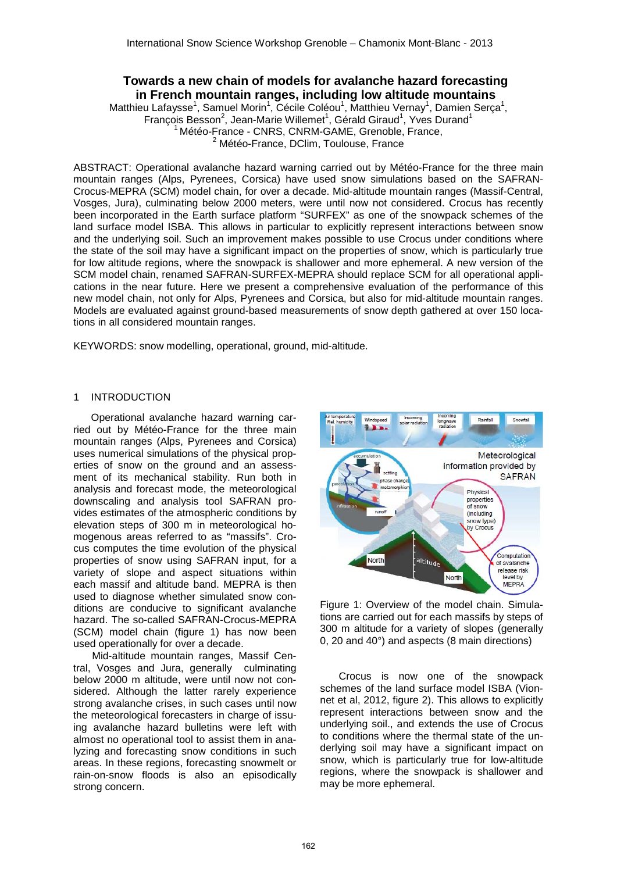# **Towards a new chain of models for avalanche hazard forecasting in French mountain ranges, including low altitude mountains**

Matthieu Lafaysse<sup>1</sup>, Samuel Morin<sup>1</sup>, Cécile Coléou<sup>1</sup>, Matthieu Vernay<sup>1</sup>, Damien Serça<sup>1</sup>, François Besson<sup>2</sup>, Jean-Marie Willemet<sup>1</sup>, Gérald Giraud<sup>1</sup>, Yves Durand<sup>1</sup> <sup>1</sup> Météo-France - CNRS, CNRM-GAME, Grenoble, France, <sup>2</sup> Météo-France, DClim, Toulouse, France

ABSTRACT: Operational avalanche hazard warning carried out by Météo-France for the three main mountain ranges (Alps, Pyrenees, Corsica) have used snow simulations based on the SAFRAN-Crocus-MEPRA (SCM) model chain, for over a decade. Mid-altitude mountain ranges (Massif-Central, Vosges, Jura), culminating below 2000 meters, were until now not considered. Crocus has recently been incorporated in the Earth surface platform "SURFEX" as one of the snowpack schemes of the land surface model ISBA. This allows in particular to explicitly represent interactions between snow and the underlying soil. Such an improvement makes possible to use Crocus under conditions where the state of the soil may have a significant impact on the properties of snow, which is particularly true for low altitude regions, where the snowpack is shallower and more ephemeral. A new version of the SCM model chain, renamed SAFRAN-SURFEX-MEPRA should replace SCM for all operational applications in the near future. Here we present a comprehensive evaluation of the performance of this new model chain, not only for Alps, Pyrenees and Corsica, but also for mid-altitude mountain ranges. Models are evaluated against ground-based measurements of snow depth gathered at over 150 locations in all considered mountain ranges.

KEYWORDS: snow modelling, operational, ground, mid-altitude.

## 1 INTRODUCTION

Operational avalanche hazard warning carried out by Météo-France for the three main mountain ranges (Alps, Pyrenees and Corsica) uses numerical simulations of the physical properties of snow on the ground and an assessment of its mechanical stability. Run both in analysis and forecast mode, the meteorological downscaling and analysis tool SAFRAN provides estimates of the atmospheric conditions by elevation steps of 300 m in meteorological homogenous areas referred to as "massifs". Crocus computes the time evolution of the physical properties of snow using SAFRAN input, for a variety of slope and aspect situations within each massif and altitude band. MEPRA is then used to diagnose whether simulated snow conditions are conducive to significant avalanche hazard. The so-called SAFRAN-Crocus-MEPRA (SCM) model chain (figure 1) has now been used operationally for over a decade.

Mid-altitude mountain ranges, Massif Central, Vosges and Jura, generally culminating below 2000 m altitude, were until now not considered. Although the latter rarely experience strong avalanche crises, in such cases until now the meteorological forecasters in charge of issuing avalanche hazard bulletins were left with almost no operational tool to assist them in analyzing and forecasting snow conditions in such areas. In these regions, forecasting snowmelt or rain-on-snow floods is also an episodically strong concern.



Figure 1: Overview of the model chain. Simulations are carried out for each massifs by steps of 300 m altitude for a variety of slopes (generally 0, 20 and 40°) and aspects (8 main directions)

Crocus is now one of the snowpack schemes of the land surface model ISBA (Vionnet et al, 2012, figure 2). This allows to explicitly represent interactions between snow and the underlying soil., and extends the use of Crocus to conditions where the thermal state of the underlying soil may have a significant impact on snow, which is particularly true for low-altitude regions, where the snowpack is shallower and may be more ephemeral.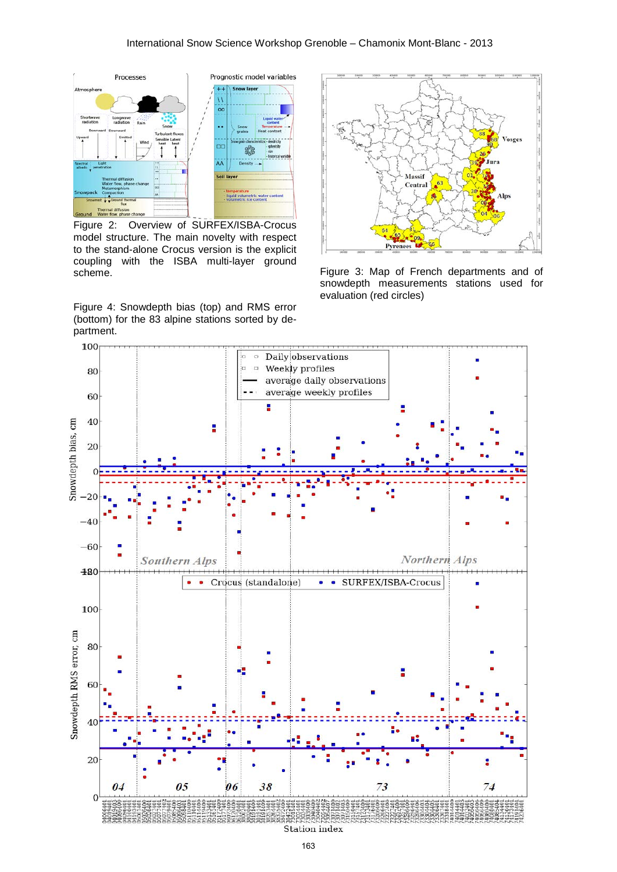

Figure 2: Overview of SURFEX/ISBA-Crocus model structure. The main novelty with respect to the stand-alone Crocus version is the explicit coupling with the ISBA multi-layer ground scheme.

Figure 4: Snowdepth bias (top) and RMS error (bottom) for the 83 alpine stations sorted by department.



Figure 3: Map of French departments and of snowdepth measurements stations used for evaluation (red circles)

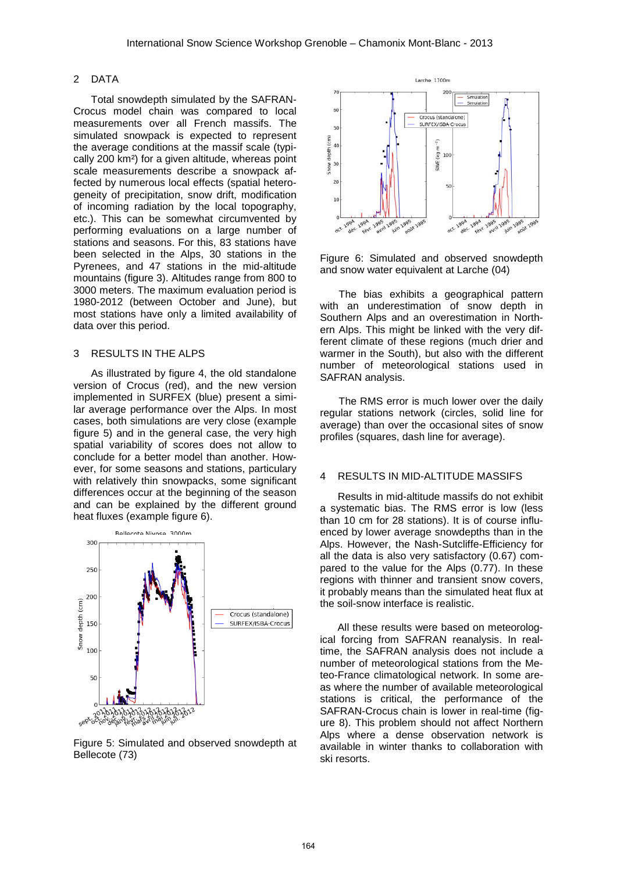#### 2 DATA

Total snowdepth simulated by the SAFRAN-Crocus model chain was compared to local measurements over all French massifs. The simulated snowpack is expected to represent the average conditions at the massif scale (typically 200 km²) for a given altitude, whereas point scale measurements describe a snowpack affected by numerous local effects (spatial heterogeneity of precipitation, snow drift, modification of incoming radiation by the local topography, etc.). This can be somewhat circumvented by performing evaluations on a large number of stations and seasons. For this, 83 stations have been selected in the Alps, 30 stations in the Pyrenees, and 47 stations in the mid-altitude mountains (figure 3). Altitudes range from 800 to 3000 meters. The maximum evaluation period is 1980-2012 (between October and June), but most stations have only a limited availability of data over this period.

#### 3 RESULTS IN THE ALPS

As illustrated by figure 4, the old standalone version of Crocus (red), and the new version implemented in SURFEX (blue) present a similar average performance over the Alps. In most cases, both simulations are very close (example figure 5) and in the general case, the very high spatial variability of scores does not allow to conclude for a better model than another. However, for some seasons and stations, particulary with relatively thin snowpacks, some significant differences occur at the beginning of the season and can be explained by the different ground heat fluxes (example figure 6).



Figure 5: Simulated and observed snowdepth at Bellecote (73)



Figure 6: Simulated and observed snowdepth and snow water equivalent at Larche (04)

The bias exhibits a geographical pattern with an underestimation of snow depth in Southern Alps and an overestimation in Northern Alps. This might be linked with the very different climate of these regions (much drier and warmer in the South), but also with the different number of meteorological stations used in SAFRAN analysis.

The RMS error is much lower over the daily regular stations network (circles, solid line for average) than over the occasional sites of snow profiles (squares, dash line for average).

### 4 RESULTS IN MID-ALTITUDE MASSIFS

Results in mid-altitude massifs do not exhibit a systematic bias. The RMS error is low (less than 10 cm for 28 stations). It is of course influenced by lower average snowdepths than in the Alps. However, the Nash-Sutcliffe-Efficiency for all the data is also very satisfactory (0.67) compared to the value for the Alps (0.77). In these regions with thinner and transient snow covers, it probably means than the simulated heat flux at the soil-snow interface is realistic.

All these results were based on meteorological forcing from SAFRAN reanalysis. In realtime, the SAFRAN analysis does not include a number of meteorological stations from the Meteo-France climatological network. In some areas where the number of available meteorological stations is critical, the performance of the SAFRAN-Crocus chain is lower in real-time (figure 8). This problem should not affect Northern Alps where a dense observation network is available in winter thanks to collaboration with ski resorts.